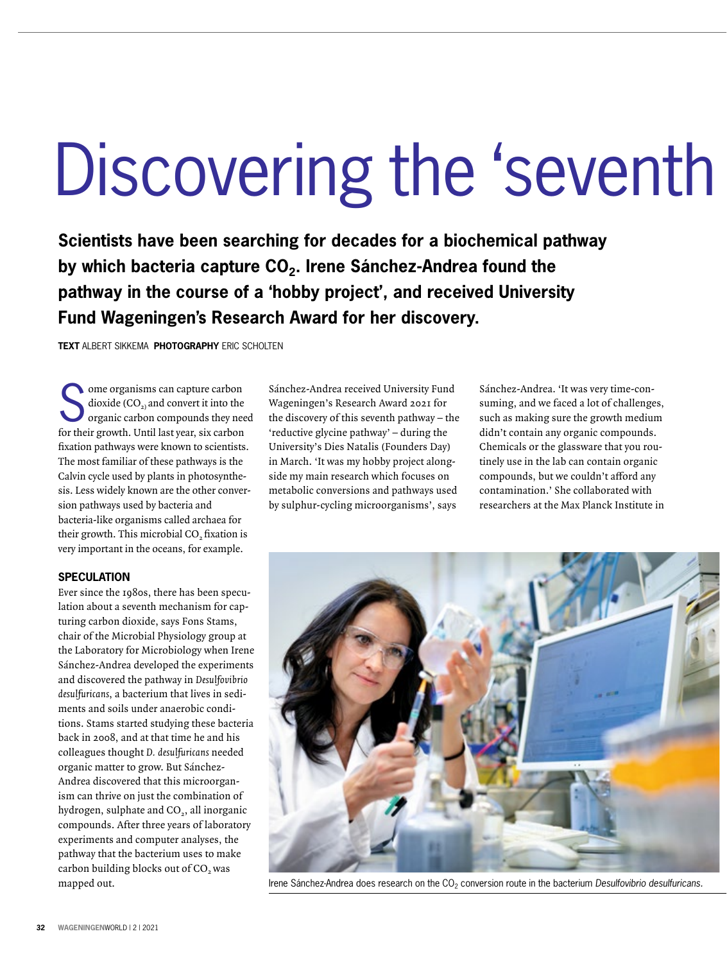## Discovering the 'seventh

**Scientists have been searching for decades for a biochemical pathway**  by which bacteria capture CO<sub>2</sub>. Irene Sánchez-Andrea found the **pathway in the course of a 'hobby project', and received University Fund Wageningen's Research Award for her discovery.**

**TEXT** ALBERT SIKKEMA **PHOTOGRAPHY** ERIC SCHOLTEN

Some organisms can capture carbon<br>dioxide  $(CO_2)$  and convert it into the<br>organic carbon compounds they nee dioxide (CO $_{2)}$  and convert it into the organic carbon compounds they need for their growth. Until last year, six carbon fixation pathways were known to scientists. The most familiar of these pathways is the Calvin cycle used by plants in photosynthesis. Less widely known are the other conversion pathways used by bacteria and bacteria-like organisms called archaea for their growth. This microbial CO<sub>2</sub> fixation is very important in the oceans, for example.

## **SPECULATION**

Ever since the 1980s, there has been speculation about a seventh mechanism for capturing carbon dioxide, says Fons Stams, chair of the Microbial Physiology group at the Laboratory for Microbiology when Irene Sánchez-Andrea developed the experiments and discovered the pathway in Desulfovibrio desulfuricans, a bacterium that lives in sediments and soils under anaerobic conditions. Stams started studying these bacteria back in 2008, and at that time he and his colleagues thought D. desulfuricans needed organic matter to grow. But Sánchez-Andrea discovered that this microorganism can thrive on just the combination of hydrogen, sulphate and  $CO<sub>2</sub>$ , all inorganic compounds. After three years of laboratory experiments and computer analyses, the pathway that the bacterium uses to make carbon building blocks out of CO<sub>2</sub> was mapped out.

Sánchez-Andrea received University Fund Wageningen's Research Award 2021 for the discovery of this seventh pathway – the 'reductive glycine pathway' – during the University's Dies Natalis (Founders Day) in March. 'It was my hobby project alongside my main research which focuses on metabolic conversions and pathways used by sulphur-cycling microorganisms', says

Sánchez-Andrea. 'It was very time-consuming, and we faced a lot of challenges, such as making sure the growth medium didn't contain any organic compounds. Chemicals or the glassware that you routinely use in the lab can contain organic compounds, but we couldn't afford any contamination.' She collaborated with researchers at the Max Planck Institute in



Irene Sánchez-Andrea does research on the CO<sub>2</sub> conversion route in the bacterium *Desulfovibrio desulfuricans.*